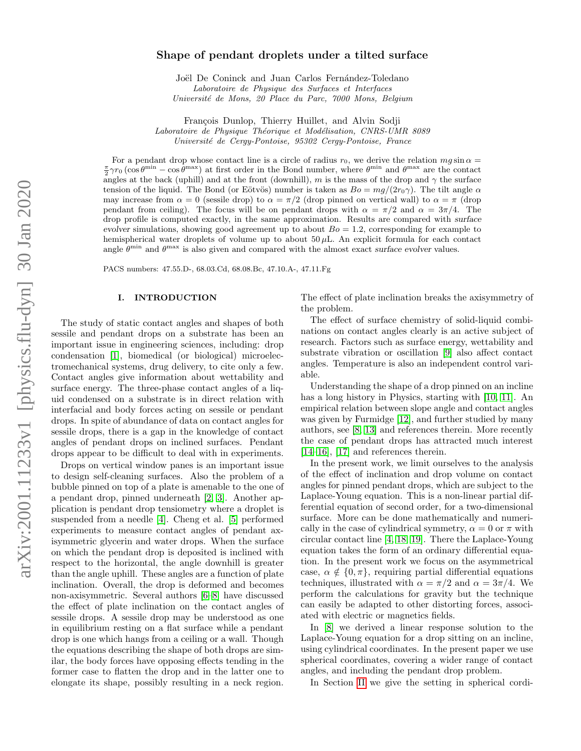## Shape of pendant droplets under a tilted surface

Joël De Coninck and Juan Carlos Fernández-Toledano Laboratoire de Physique des Surfaces et Interfaces Universit´e de Mons, 20 Place du Parc, 7000 Mons, Belgium

François Dunlop, Thierry Huillet, and Alvin Sodji Laboratoire de Physique Théorique et Modélisation, CNRS-UMR 8089 Université de Cergy-Pontoise, 95302 Cergy-Pontoise, France

For a pendant drop whose contact line is a circle of radius  $r_0$ , we derive the relation  $mg \sin \alpha =$  $\frac{\pi}{2}\gamma r_0\left(\cos\theta^{\min} - \cos\theta^{\max}\right)$  at first order in the Bond number, where  $\theta^{\min}$  and  $\theta^{\max}$  are the contact angles at the back (uphill) and at the front (downhill), m is the mass of the drop and  $\gamma$  the surface tension of the liquid. The Bond (or Eötvös) number is taken as  $Bo = mg/(2r_0\gamma)$ . The tilt angle  $\alpha$ may increase from  $\alpha = 0$  (sessile drop) to  $\alpha = \pi/2$  (drop pinned on vertical wall) to  $\alpha = \pi$  (drop pendant from ceiling). The focus will be on pendant drops with  $\alpha = \pi/2$  and  $\alpha = 3\pi/4$ . The drop profile is computed exactly, in the same approximation. Results are compared with surface evolver simulations, showing good agreement up to about  $Bo = 1.2$ , corresponding for example to hemispherical water droplets of volume up to about  $50 \mu$ L. An explicit formula for each contact angle  $\theta^{\min}$  and  $\theta^{\max}$  is also given and compared with the almost exact surface evolver values.

PACS numbers: 47.55.D-, 68.03.Cd, 68.08.Bc, 47.10.A-, 47.11.Fg

#### I. INTRODUCTION

The study of static contact angles and shapes of both sessile and pendant drops on a substrate has been an important issue in engineering sciences, including: drop condensation [\[1\]](#page-6-0), biomedical (or biological) microelectromechanical systems, drug delivery, to cite only a few. Contact angles give information about wettability and surface energy. The three-phase contact angles of a liquid condensed on a substrate is in direct relation with interfacial and body forces acting on sessile or pendant drops. In spite of abundance of data on contact angles for sessile drops, there is a gap in the knowledge of contact angles of pendant drops on inclined surfaces. Pendant drops appear to be difficult to deal with in experiments.

Drops on vertical window panes is an important issue to design self-cleaning surfaces. Also the problem of a bubble pinned on top of a plate is amenable to the one of a pendant drop, pinned underneath [\[2,](#page-6-1) [3\]](#page-6-2). Another application is pendant drop tensiometry where a droplet is suspended from a needle [\[4\]](#page-6-3). Cheng et al. [\[5\]](#page-7-0) performed experiments to measure contact angles of pendant axisymmetric glycerin and water drops. When the surface on which the pendant drop is deposited is inclined with respect to the horizontal, the angle downhill is greater than the angle uphill. These angles are a function of plate inclination. Overall, the drop is deformed and becomes non-axisymmetric. Several authors [\[6–](#page-7-1)[8\]](#page-7-2) have discussed the effect of plate inclination on the contact angles of sessile drops. A sessile drop may be understood as one in equilibrium resting on a flat surface while a pendant drop is one which hangs from a ceiling or a wall. Though the equations describing the shape of both drops are similar, the body forces have opposing effects tending in the former case to flatten the drop and in the latter one to elongate its shape, possibly resulting in a neck region.

The effect of plate inclination breaks the axisymmetry of the problem.

The effect of surface chemistry of solid-liquid combinations on contact angles clearly is an active subject of research. Factors such as surface energy, wettability and substrate vibration or oscillation [\[9\]](#page-7-3) also affect contact angles. Temperature is also an independent control variable.

Understanding the shape of a drop pinned on an incline has a long history in Physics, starting with [\[10,](#page-7-4) [11\]](#page-7-5). An empirical relation between slope angle and contact angles was given by Furmidge [\[12\]](#page-7-6), and further studied by many authors, see [\[8,](#page-7-2) [13\]](#page-7-7) and references therein. More recently the case of pendant drops has attracted much interest [\[14–](#page-7-8)[16\]](#page-7-9), [\[17\]](#page-7-10) and references therein.

In the present work, we limit ourselves to the analysis of the effect of inclination and drop volume on contact angles for pinned pendant drops, which are subject to the Laplace-Young equation. This is a non-linear partial differential equation of second order, for a two-dimensional surface. More can be done mathematically and numerically in the case of cylindrical symmetry,  $\alpha = 0$  or  $\pi$  with circular contact line [\[4,](#page-6-3) [18,](#page-7-11) [19\]](#page-7-12). There the Laplace-Young equation takes the form of an ordinary differential equation. In the present work we focus on the asymmetrical case,  $\alpha \notin \{0, \pi\}$ , requiring partial differential equations techniques, illustrated with  $\alpha = \pi/2$  and  $\alpha = 3\pi/4$ . We perform the calculations for gravity but the technique can easily be adapted to other distorting forces, associated with electric or magnetics fields.

In [\[8\]](#page-7-2) we derived a linear response solution to the Laplace-Young equation for a drop sitting on an incline, using cylindrical coordinates. In the present paper we use spherical coordinates, covering a wider range of contact angles, and including the pendant drop problem.

In Section [II](#page-1-0) we give the setting in spherical cordi-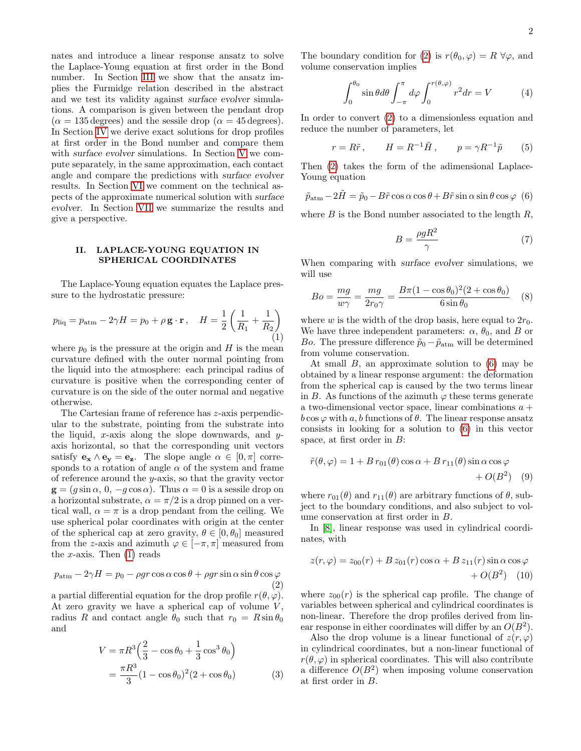nates and introduce a linear response ansatz to solve the Laplace-Young equation at first order in the Bond number. In Section [III](#page-2-0) we show that the ansatz implies the Furmidge relation described in the abstract and we test its validity against surface evolver simulations. A comparison is given between the pendant drop  $(\alpha = 135 \text{ degrees})$  and the sessile drop  $(\alpha = 45 \text{ degrees})$ . In Section [IV](#page-2-1) we derive exact solutions for drop profiles at first order in the Bond number and compare them with surface evolver simulations. In Section [V](#page-4-0) we compute separately, in the same approximation, each contact angle and compare the predictions with surface evolver results. In Section [VI](#page-5-0) we comment on the technical aspects of the approximate numerical solution with surface evolver. In Section [VII](#page-5-1) we summarize the results and give a perspective.

## <span id="page-1-0"></span>II. LAPLACE-YOUNG EQUATION IN SPHERICAL COORDINATES

The Laplace-Young equation equates the Laplace pressure to the hydrostatic pressure:

<span id="page-1-1"></span>
$$
p_{\text{liq}} = p_{\text{atm}} - 2\gamma H = p_0 + \rho \mathbf{g} \cdot \mathbf{r}, \quad H = \frac{1}{2} \left( \frac{1}{R_1} + \frac{1}{R_2} \right)
$$
\n(1)

where  $p_0$  is the pressure at the origin and H is the mean curvature defined with the outer normal pointing from the liquid into the atmosphere: each principal radius of curvature is positive when the corresponding center of curvature is on the side of the outer normal and negative otherwise.

The Cartesian frame of reference has z-axis perpendicular to the substrate, pointing from the substrate into the liquid, x-axis along the slope downwards, and yaxis horizontal, so that the corresponding unit vectors satisfy  $\mathbf{e}_{\mathbf{x}} \wedge \mathbf{e}_{\mathbf{y}} = \mathbf{e}_{\mathbf{z}}$ . The slope angle  $\alpha \in [0, \pi]$  corresponds to a rotation of angle  $\alpha$  of the system and frame of reference around the y-axis, so that the gravity vector  $\mathbf{g} = (g \sin \alpha, 0, -g \cos \alpha)$ . Thus  $\alpha = 0$  is a sessile drop on a horizontal substrate,  $\alpha = \pi/2$  is a drop pinned on a vertical wall,  $\alpha = \pi$  is a drop pendant from the ceiling. We use spherical polar coordinates with origin at the center of the spherical cap at zero gravity,  $\theta \in [0, \theta_0]$  measured from the z-axis and azimuth  $\varphi \in [-\pi, \pi]$  measured from the x-axis. Then  $(1)$  reads

<span id="page-1-2"></span>
$$
p_{\text{atm}} - 2\gamma H = p_0 - \rho gr \cos \alpha \cos \theta + \rho gr \sin \alpha \sin \theta \cos \varphi \tag{2}
$$

a partial differential equation for the drop profile  $r(\theta, \varphi)$ . At zero gravity we have a spherical cap of volume  $V$ , radius R and contact angle  $\theta_0$  such that  $r_0 = R \sin \theta_0$ and

$$
V = \pi R^3 \left(\frac{2}{3} - \cos \theta_0 + \frac{1}{3} \cos^3 \theta_0\right)
$$
  
= 
$$
\frac{\pi R^3}{3} (1 - \cos \theta_0)^2 (2 + \cos \theta_0)
$$
 (3)

The boundary condition for [\(2\)](#page-1-2) is  $r(\theta_0, \varphi) = R \,\forall \varphi$ , and volume conservation implies

$$
\int_0^{\theta_0} \sin \theta d\theta \int_{-\pi}^{\pi} d\varphi \int_0^{r(\theta,\varphi)} r^2 dr = V \tag{4}
$$

In order to convert [\(2\)](#page-1-2) to a dimensionless equation and reduce the number of parameters, let

$$
r = R\tilde{r}, \qquad H = R^{-1}\tilde{H}, \qquad p = \gamma R^{-1}\tilde{p} \qquad (5)
$$

Then [\(2\)](#page-1-2) takes the form of the adimensional Laplace-Young equation

<span id="page-1-3"></span>
$$
\tilde{p}_{\text{atm}} - 2\tilde{H} = \tilde{p}_0 - B\tilde{r}\cos\alpha\cos\theta + B\tilde{r}\sin\alpha\sin\theta\cos\varphi
$$
 (6)

where  $B$  is the Bond number associated to the length  $R$ ,

$$
B = \frac{\rho g R^2}{\gamma} \tag{7}
$$

When comparing with surface evolver simulations, we will use

<span id="page-1-5"></span>
$$
Bo = \frac{mg}{w\gamma} = \frac{mg}{2r_0\gamma} = \frac{B\pi(1 - \cos\theta_0)^2(2 + \cos\theta_0)}{6\sin\theta_0}
$$
 (8)

where w is the width of the drop basis, here equal to  $2r_0$ . We have three independent parameters:  $\alpha$ ,  $\theta_0$ , and B or Bo. The pressure difference  $\tilde{p}_0 - \tilde{p}_{\text{atm}}$  will be determined from volume conservation.

At small  $B$ , an approximate solution to  $(6)$  may be obtained by a linear response argument: the deformation from the spherical cap is caused by the two terms linear in B. As functions of the azimuth  $\varphi$  these terms generate a two-dimensional vector space, linear combinations  $a +$  $b \cos \varphi$  with a, b functions of  $\theta$ . The linear response ansatz consists in looking for a solution to [\(6\)](#page-1-3) in this vector space, at first order in B:

<span id="page-1-4"></span>
$$
\tilde{r}(\theta,\varphi) = 1 + B r_{01}(\theta) \cos \alpha + B r_{11}(\theta) \sin \alpha \cos \varphi + O(B^2)
$$
 (9)

where  $r_{01}(\theta)$  and  $r_{11}(\theta)$  are arbitrary functions of  $\theta$ , subject to the boundary conditions, and also subject to volume conservation at first order in B.

In [\[8\]](#page-7-2), linear response was used in cylindrical coordinates, with

$$
z(r,\varphi) = z_{00}(r) + B z_{01}(r) \cos \alpha + B z_{11}(r) \sin \alpha \cos \varphi
$$

$$
+ O(B^2) \quad (10)
$$

where  $z_{00}(r)$  is the spherical cap profile. The change of variables between spherical and cylindrical coordinates is non-linear. Therefore the drop profiles derived from linear response in either coordinates will differ by an  $O(B^2)$ .

Also the drop volume is a linear functional of  $z(r, \varphi)$ in cylindrical coordinates, but a non-linear functional of  $r(\theta, \varphi)$  in spherical coordinates. This will also contribute a difference  $O(B^2)$  when imposing volume conservation at first order in B.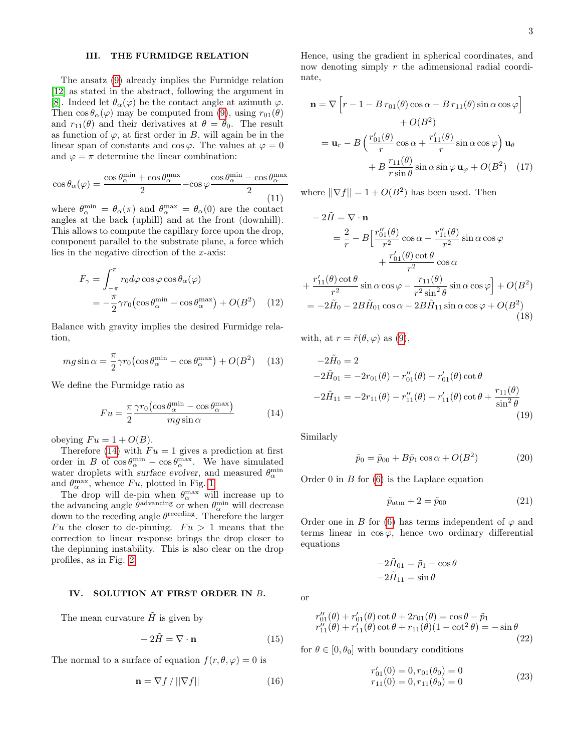# <span id="page-2-0"></span>III. THE FURMIDGE RELATION

The ansatz [\(9\)](#page-1-4) already implies the Furmidge relation [\[12\]](#page-7-6) as stated in the abstract, following the argument in [\[8\]](#page-7-2). Indeed let  $\theta_{\alpha}(\varphi)$  be the contact angle at azimuth  $\varphi$ . Then  $\cos \theta_{\alpha}(\varphi)$  may be computed from [\(9\)](#page-1-4), using  $r_{01}(\theta)$ and  $r_{11}(\theta)$  and their derivatives at  $\theta = \theta_0$ . The result as function of  $\varphi$ , at first order in B, will again be in the linear span of constants and cos  $\varphi$ . The values at  $\varphi = 0$ and  $\varphi = \pi$  determine the linear combination:

$$
\cos \theta_{\alpha}(\varphi) = \frac{\cos \theta_{\alpha}^{\text{min}} + \cos \theta_{\alpha}^{\text{max}}}{2} - \cos \varphi \frac{\cos \theta_{\alpha}^{\text{min}} - \cos \theta_{\alpha}^{\text{max}}}{2}
$$
(11)

where  $\theta_{\alpha}^{\min} = \theta_{\alpha}(\pi)$  and  $\theta_{\alpha}^{\max} = \theta_{\alpha}(0)$  are the contact angles at the back (uphill) and at the front (downhill). This allows to compute the capillary force upon the drop, component parallel to the substrate plane, a force which lies in the negative direction of the x-axis:

$$
F_{\gamma} = \int_{-\pi}^{\pi} r_0 d\varphi \cos \varphi \cos \theta_{\alpha}(\varphi)
$$
  
=  $-\frac{\pi}{2} \gamma r_0 (\cos \theta_{\alpha}^{\min} - \cos \theta_{\alpha}^{\max}) + O(B^2)$  (12)

Balance with gravity implies the desired Furmidge relation,

$$
mg\sin\alpha = \frac{\pi}{2}\gamma r_0 \left(\cos\theta_\alpha^{\text{min}} - \cos\theta_\alpha^{\text{max}}\right) + O(B^2)
$$
 (13)

We define the Furmidge ratio as

<span id="page-2-2"></span>
$$
Fu = \frac{\pi}{2} \frac{\gamma r_0 \left(\cos \theta_{\alpha}^{\text{min}} - \cos \theta_{\alpha}^{\text{max}}\right)}{m g \sin \alpha} \tag{14}
$$

obeying  $Fu = 1 + O(B)$ .

Therefore [\(14\)](#page-2-2) with  $Fu = 1$  gives a prediction at first order in B of  $\cos \theta_{\alpha}^{\min} - \cos \theta_{\alpha}^{\max}$ . We have simulated water droplets with surface evolver, and measured  $\theta_{\alpha}^{\min}$ and  $\theta_{\alpha}^{\max}$ , whence  $Fu$ , plotted in Fig. [1.](#page-3-0)

The drop will de-pin when  $\theta_{\alpha}^{\max}$  will increase up to the advancing angle  $\theta^{\text{advancing}}$  or when  $\theta^{\text{min}}_{\alpha}$  will decrease down to the receding angle  $\theta^{\text{receding}}$ . Therefore the larger Fu the closer to de-pinning.  $Fu > 1$  means that the correction to linear response brings the drop closer to the depinning instability. This is also clear on the drop profiles, as in Fig. [2.](#page-4-1)

## <span id="page-2-1"></span>IV. SOLUTION AT FIRST ORDER IN B.

The mean curvature  $\hat{H}$  is given by

$$
-2\tilde{H} = \nabla \cdot \mathbf{n} \tag{15}
$$

The normal to a surface of equation  $f(r, \theta, \varphi) = 0$  is

$$
\mathbf{n} = \nabla f / ||\nabla f|| \tag{16}
$$

Hence, using the gradient in spherical coordinates, and now denoting simply r the adimensional radial coordinate,

$$
\mathbf{n} = \nabla \left[ r - 1 - B r_{01}(\theta) \cos \alpha - B r_{11}(\theta) \sin \alpha \cos \varphi \right] \n+ O(B^2) \n= \mathbf{u}_r - B \left( \frac{r'_{01}(\theta)}{r} \cos \alpha + \frac{r'_{11}(\theta)}{r} \sin \alpha \cos \varphi \right) \mathbf{u}_\theta \n+ B \frac{r_{11}(\theta)}{r \sin \theta} \sin \alpha \sin \varphi \mathbf{u}_\varphi + O(B^2) \quad (17)
$$

where  $||\nabla f|| = 1 + O(B^2)$  has been used. Then

$$
-2\tilde{H} = \nabla \cdot \mathbf{n}
$$
  
\n
$$
= \frac{2}{r} - B \left[ \frac{r_{01}''(\theta)}{r^2} \cos \alpha + \frac{r_{11}''(\theta)}{r^2} \sin \alpha \cos \varphi + \frac{r_{01}'(\theta) \cot \theta}{r^2} \cos \alpha + \frac{r_{11}'(\theta) \cot \theta}{r^2} \sin \alpha \cos \varphi - \frac{r_{11}(\theta)}{r^2 \sin^2 \theta} \sin \alpha \cos \varphi \right] + O(B^2)
$$
  
\n
$$
= -2\tilde{H}_0 - 2B\tilde{H}_{01} \cos \alpha - 2B\tilde{H}_{11} \sin \alpha \cos \varphi + O(B^2)
$$
\n(18)

with, at  $r = \tilde{r}(\theta, \varphi)$  as [\(9\)](#page-1-4),

$$
-2\tilde{H}_0 = 2
$$
  
\n
$$
-2\tilde{H}_{01} = -2r_{01}(\theta) - r_{01}''(\theta) - r_{01}'(\theta) \cot \theta
$$
  
\n
$$
-2\tilde{H}_{11} = -2r_{11}(\theta) - r_{11}''(\theta) - r_{11}'(\theta) \cot \theta + \frac{r_{11}(\theta)}{\sin^2 \theta}
$$
\n(19)

Similarly

$$
\tilde{p}_0 = \tilde{p}_{00} + B\tilde{p}_1 \cos \alpha + O(B^2)
$$
\n(20)

Order  $0$  in  $B$  for  $(6)$  is the Laplace equation

$$
\tilde{p}_{\text{atm}} + 2 = \tilde{p}_{00} \tag{21}
$$

Order one in B for [\(6\)](#page-1-3) has terms independent of  $\varphi$  and terms linear in  $\cos \varphi$ , hence two ordinary differential equations

$$
-2\tilde{H}_{01} = \tilde{p}_1 - \cos\theta
$$

$$
-2\tilde{H}_{11} = \sin\theta
$$

or

<span id="page-2-3"></span>
$$
r_{01}''(\theta) + r_{01}'(\theta) \cot \theta + 2r_{01}(\theta) = \cos \theta - \tilde{p}_1
$$
  
\n
$$
r_{11}''(\theta) + r_{11}'(\theta) \cot \theta + r_{11}(\theta)(1 - \cot^2 \theta) = -\sin \theta
$$
  
\n(22)

for  $\theta \in [0, \theta_0]$  with boundary conditions

<span id="page-2-4"></span>
$$
r'_{01}(0) = 0, r_{01}(\theta_0) = 0r_{11}(0) = 0, r_{11}(\theta_0) = 0
$$
\n(23)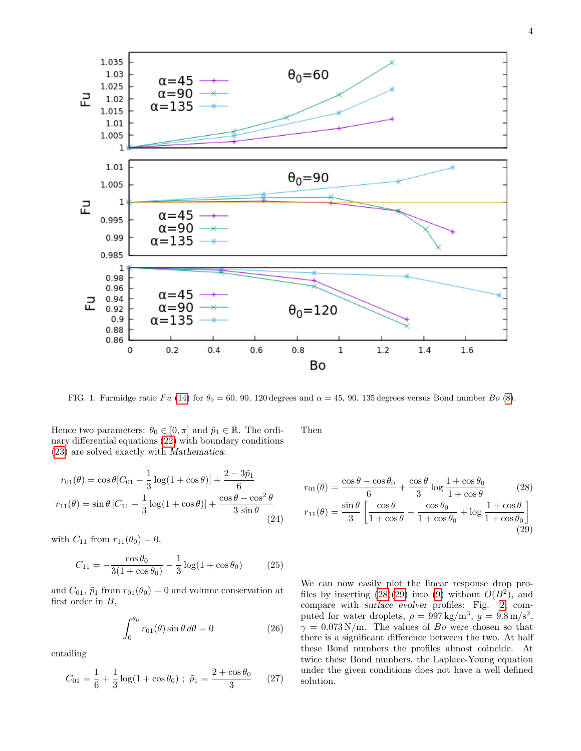

<span id="page-3-0"></span>FIG. 1. Furmidge ratio Fu [\(14\)](#page-2-2) for  $\theta_0 = 60$ , 90, 120 degrees and  $\alpha = 45$ , 90, 135 degrees versus Bond number Bo [\(8\)](#page-1-5).

Hence two parameters:  $\theta_0 \in [0, \pi]$  and  $\tilde{p}_1 \in \mathbb{R}$ . The ordinary differential equations [\(22\)](#page-2-3) with boundary conditions [\(23\)](#page-2-4) are solved exactly with Mathematica:

$$
r_{01}(\theta) = \cos \theta [C_{01} - \frac{1}{3} \log(1 + \cos \theta)] + \frac{2 - 3\tilde{p}_1}{6}
$$
  

$$
r_{11}(\theta) = \sin \theta [C_{11} + \frac{1}{3} \log(1 + \cos \theta)] + \frac{\cos \theta - \cos^2 \theta}{3 \sin \theta}
$$
(24)

with  $C_{11}$  from  $r_{11}(\theta_0) = 0$ ,

$$
C_{11} = -\frac{\cos \theta_0}{3(1 + \cos \theta_0)} - \frac{1}{3} \log(1 + \cos \theta_0)
$$
 (25)

and  $C_{01}$ ,  $\tilde{p}_1$  from  $r_{01}(\theta_0) = 0$  and volume conservation at first order in  $B$ ,

$$
\int_0^{\theta_0} r_{01}(\theta) \sin \theta \, d\theta = 0 \tag{26}
$$

entailing

$$
C_{01} = \frac{1}{6} + \frac{1}{3}\log(1 + \cos\theta_0) ; \ \tilde{p}_1 = \frac{2 + \cos\theta_0}{3} \qquad (27)
$$

Then

<span id="page-3-2"></span><span id="page-3-1"></span>
$$
r_{01}(\theta) = \frac{\cos\theta - \cos\theta_0}{6} + \frac{\cos\theta}{3}\log\frac{1 + \cos\theta_0}{1 + \cos\theta}
$$
(28)  

$$
r_{11}(\theta) = \frac{\sin\theta}{3}\left[\frac{\cos\theta}{1 + \cos\theta} - \frac{\cos\theta_0}{1 + \cos\theta_0} + \log\frac{1 + \cos\theta_0}{1 + \cos\theta_0}\right]
$$
(29)

We can now easily plot the linear response drop profiles by inserting  $(28)(29)$  $(28)(29)$  into  $(9)$  without  $O(B^2)$ , and compare with surface evolver profiles: Fig. [2,](#page-4-1) computed for water droplets,  $\rho = 997 \text{ kg/m}^3$ ,  $g = 9.8 \text{ m/s}^2$ ,  $\gamma = 0.073 \text{ N/m}$ . The values of Bo were chosen so that there is a significant difference between the two. At half these Bond numbers the profiles almost coincide. At twice these Bond numbers, the Laplace-Young equation under the given conditions does not have a well defined solution.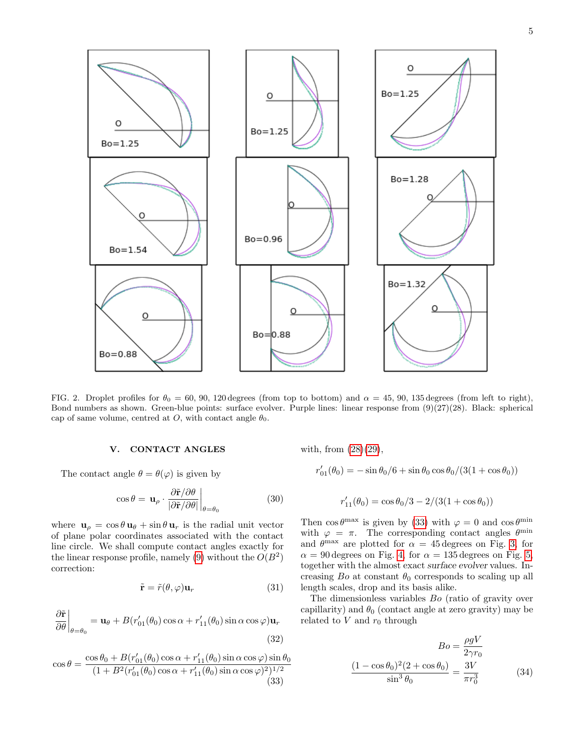

<span id="page-4-1"></span>FIG. 2. Droplet profiles for  $\theta_0 = 60, 90, 120$  degrees (from top to bottom) and  $\alpha = 45, 90, 135$  degrees (from left to right), Bond numbers as shown. Green-blue points: surface evolver. Purple lines: linear response from  $(9)(27)(28)$ . Black: spherical cap of same volume, centred at O, with contact angle  $\theta_0$ .

# <span id="page-4-0"></span>V. CONTACT ANGLES

The contact angle  $\theta = \theta(\varphi)$  is given by

$$
\cos \theta = \mathbf{u}_{\rho} \cdot \frac{\partial \tilde{\mathbf{r}}/\partial \theta}{|\partial \tilde{\mathbf{r}}/\partial \theta|}\Big|_{\theta = \theta_0} \tag{30}
$$

where  $\mathbf{u}_{\rho} = \cos \theta \mathbf{u}_{\theta} + \sin \theta \mathbf{u}_{r}$  is the radial unit vector of plane polar coordinates associated with the contact line circle. We shall compute contact angles exactly for the linear response profile, namely [\(9\)](#page-1-4) without the  $O(B^2)$ correction:

$$
\tilde{\mathbf{r}} = \tilde{r}(\theta, \varphi) \mathbf{u}_r \tag{31}
$$

$$
\frac{\partial \tilde{\mathbf{r}}}{\partial \theta}\Big|_{\theta=\theta_0} = \mathbf{u}_{\theta} + B(r'_{01}(\theta_0)\cos\alpha + r'_{11}(\theta_0)\sin\alpha\cos\varphi)\mathbf{u}_r
$$
\n(32)

<span id="page-4-2"></span>
$$
\cos \theta = \frac{\cos \theta_0 + B(r'_{01}(\theta_0) \cos \alpha + r'_{11}(\theta_0) \sin \alpha \cos \varphi) \sin \theta_0}{(1 + B^2(r'_{01}(\theta_0) \cos \alpha + r'_{11}(\theta_0) \sin \alpha \cos \varphi)^2)^{1/2}}
$$
(33)

with, from [\(28\)](#page-3-1)[\(29\)](#page-3-2),

$$
r'_{01}(\theta_0) = -\sin \theta_0 / 6 + \sin \theta_0 \cos \theta_0 / (3(1 + \cos \theta_0))
$$

$$
r'_{11}(\theta_0) = \cos \theta_0/3 - 2/(3(1+\cos \theta_0))
$$

Then  $\cos \theta^{\text{max}}$  is given by [\(33\)](#page-4-2) with  $\varphi = 0$  and  $\cos \theta^{\text{min}}$ with  $\varphi = \pi$ . The corresponding contact angles  $\theta^{\min}$ and  $\theta^{\text{max}}$  are plotted for  $\alpha = 45$  degrees on Fig. [3,](#page-5-2) for  $\alpha = 90$  degrees on Fig. [4,](#page-6-4) for  $\alpha = 135$  degrees on Fig. [5,](#page-7-13) together with the almost exact surface evolver values. Increasing  $Bo$  at constant  $\theta_0$  corresponds to scaling up all length scales, drop and its basis alike.

The dimensionless variables Bo (ratio of gravity over capillarity) and  $\theta_0$  (contact angle at zero gravity) may be related to  $V$  and  $r_0$  through

$$
Bo = \frac{\rho g V}{2\gamma r_0}
$$

$$
\frac{(1 - \cos \theta_0)^2 (2 + \cos \theta_0)}{\sin^3 \theta_0} = \frac{3V}{\pi r_0^3}
$$
(34)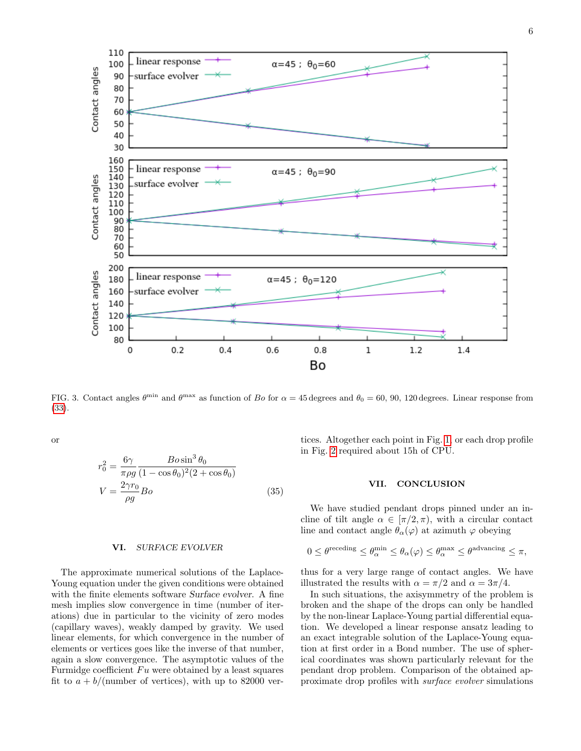

<span id="page-5-2"></span>FIG. 3. Contact angles  $\theta^{\min}$  and  $\theta^{\max}$  as function of Bo for  $\alpha = 45$  degrees and  $\theta_0 = 60$ , 90, 120 degrees. Linear response from [\(33\)](#page-4-2).

or

$$
r_0^2 = \frac{6\gamma}{\pi \rho g} \frac{Bo \sin^3 \theta_0}{(1 - \cos \theta_0)^2 (2 + \cos \theta_0)}
$$

$$
V = \frac{2\gamma r_0}{\rho g} Bo \tag{35}
$$

#### <span id="page-5-0"></span>VI. SURFACE EVOLVER

The approximate numerical solutions of the Laplace-Young equation under the given conditions were obtained with the finite elements software Surface evolver. A fine mesh implies slow convergence in time (number of iterations) due in particular to the vicinity of zero modes (capillary waves), weakly damped by gravity. We used linear elements, for which convergence in the number of elements or vertices goes like the inverse of that number, again a slow convergence. The asymptotic values of the Furmidge coefficient  $Fu$  were obtained by a least squares fit to  $a + b/$ (number of vertices), with up to 82000 ver-

tices. Altogether each point in Fig. [1,](#page-3-0) or each drop profile in Fig. [2](#page-4-1) required about 15h of CPU.

# <span id="page-5-1"></span>VII. CONCLUSION

We have studied pendant drops pinned under an incline of tilt angle  $\alpha \in [\pi/2, \pi)$ , with a circular contact line and contact angle  $\theta_{\alpha}(\varphi)$  at azimuth  $\varphi$  obeying

$$
0 \leq \theta^{\text{receding}} \leq \theta^{\min}_{\alpha} \leq \theta_{\alpha}(\varphi) \leq \theta^{\max}_{\alpha} \leq \theta^{\text{advancing}} \leq \pi,
$$

thus for a very large range of contact angles. We have illustrated the results with  $\alpha = \pi/2$  and  $\alpha = 3\pi/4$ .

In such situations, the axisymmetry of the problem is broken and the shape of the drops can only be handled by the non-linear Laplace-Young partial differential equation. We developed a linear response ansatz leading to an exact integrable solution of the Laplace-Young equation at first order in a Bond number. The use of spherical coordinates was shown particularly relevant for the pendant drop problem. Comparison of the obtained approximate drop profiles with surface evolver simulations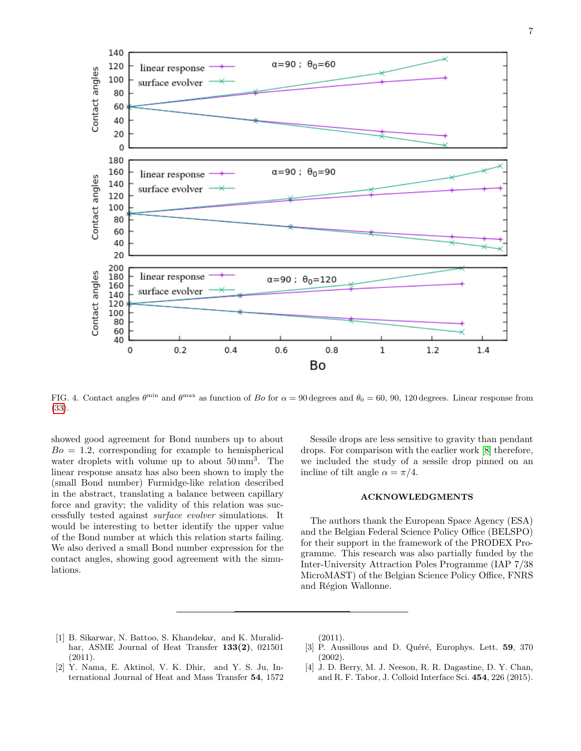

<span id="page-6-4"></span>FIG. 4. Contact angles  $\theta^{\min}$  and  $\theta^{\max}$  as function of Bo for  $\alpha = 90$  degrees and  $\theta_0 = 60$ , 90, 120 degrees. Linear response from [\(33\)](#page-4-2).

showed good agreement for Bond numbers up to about  $Bo = 1.2$ , corresponding for example to hemispherical water droplets with volume up to about  $50 \text{ mm}^3$ . The linear response ansatz has also been shown to imply the (small Bond number) Furmidge-like relation described in the abstract, translating a balance between capillary force and gravity; the validity of this relation was successfully tested against surface evolver simulations. It would be interesting to better identify the upper value of the Bond number at which this relation starts failing. We also derived a small Bond number expression for the contact angles, showing good agreement with the simulations.

Sessile drops are less sensitive to gravity than pendant drops. For comparison with the earlier work [\[8\]](#page-7-2) therefore, we included the study of a sessile drop pinned on an incline of tilt angle  $\alpha = \pi/4$ .

#### ACKNOWLEDGMENTS

The authors thank the European Space Agency (ESA) and the Belgian Federal Science Policy Office (BELSPO) for their support in the framework of the PRODEX Programme. This research was also partially funded by the Inter-University Attraction Poles Programme (IAP 7/38 MicroMAST) of the Belgian Science Policy Office, FNRS and Région Wallonne.

- <span id="page-6-0"></span>[1] B. Sikarwar, N. Battoo, S. Khandekar, and K. Muralidhar, ASME Journal of Heat Transfer 133(2), 021501 (2011).
- <span id="page-6-1"></span>[2] Y. Nama, E. Aktinol, V. K. Dhir, and Y. S. Ju, International Journal of Heat and Mass Transfer 54, 1572

(2011).

- <span id="page-6-2"></span>[3] P. Aussillous and D. Quéré, Europhys. Lett. 59, 370 (2002).
- <span id="page-6-3"></span>[4] J. D. Berry, M. J. Neeson, R. R. Dagastine, D. Y. Chan, and R. F. Tabor, J. Colloid Interface Sci. 454, 226 (2015).